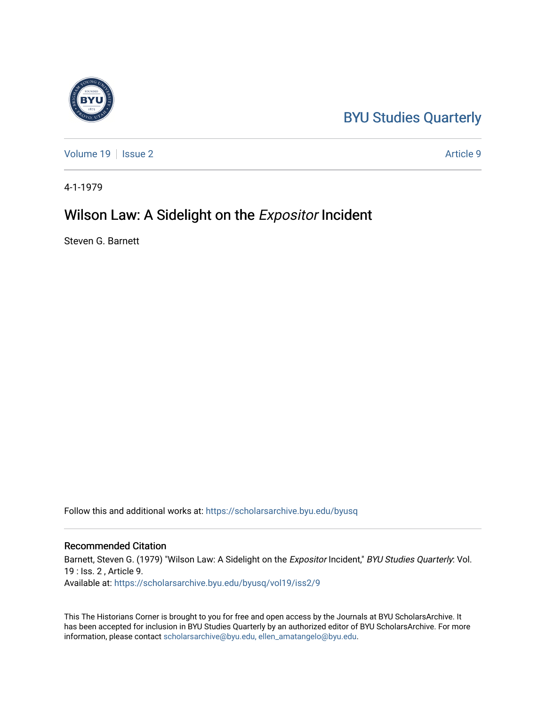## [BYU Studies Quarterly](https://scholarsarchive.byu.edu/byusq)

[Volume 19](https://scholarsarchive.byu.edu/byusq/vol19) | [Issue 2](https://scholarsarchive.byu.edu/byusq/vol19/iss2) Article 9

4-1-1979

### Wilson Law: A Sidelight on the **Expositor Incident**

Steven G. Barnett

Follow this and additional works at: [https://scholarsarchive.byu.edu/byusq](https://scholarsarchive.byu.edu/byusq?utm_source=scholarsarchive.byu.edu%2Fbyusq%2Fvol19%2Fiss2%2F9&utm_medium=PDF&utm_campaign=PDFCoverPages) 

#### Recommended Citation

Barnett, Steven G. (1979) "Wilson Law: A Sidelight on the Expositor Incident," BYU Studies Quarterly: Vol. 19 : Iss. 2 , Article 9. Available at: [https://scholarsarchive.byu.edu/byusq/vol19/iss2/9](https://scholarsarchive.byu.edu/byusq/vol19/iss2/9?utm_source=scholarsarchive.byu.edu%2Fbyusq%2Fvol19%2Fiss2%2F9&utm_medium=PDF&utm_campaign=PDFCoverPages)

This The Historians Corner is brought to you for free and open access by the Journals at BYU ScholarsArchive. It has been accepted for inclusion in BYU Studies Quarterly by an authorized editor of BYU ScholarsArchive. For more information, please contact [scholarsarchive@byu.edu, ellen\\_amatangelo@byu.edu.](mailto:scholarsarchive@byu.edu,%20ellen_amatangelo@byu.edu)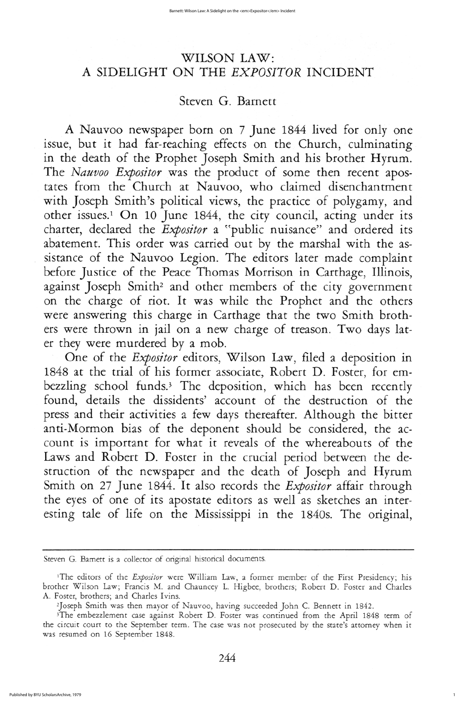# WILSON LAW A SIDELIGHT ON THE EXPOSITOR INCIDENT

# Steven G. Barnett

A Nauvoo newspaper born on 7 June 1844 lived for only one issue, but it had far-reaching effects on the Church, culminating in the death of the Prophet Joseph Smith and his brother Hyrum. The Nauvoo Expositor was the product of some then recent apostates from the Church at Nauvoo, who claimed disenchantment with Joseph Smith's political views, the practice of polygamy, and other issues.<sup>1</sup> On 10 June 1844, the city council, acting under its charter, declared the *Expositor* a "public nuisance" and ordered its abatement. This order was carried out by the marshal with the assistance of the Nauvoo Legion. The editors later made complaint before Justice of the Peace Thomas Morrison in Carthage, Illinois, against Joseph Smith<sup>2</sup> and other members of the city government on the charge of riot. It was while the Prophet and the others were answering this charge in Carthage that the two Smith brothers were thrown in jail on a new charge of treason. Two days later they were murdered by a mob

One of the Expositor editors, Wilson Law, filed a deposition in 1848 at the trial of his former associate, Robert D. Foster, for embezzling school funds.<sup>3</sup> The deposition, which has been recently found, details the dissidents' account of the destruction of the press and their activities a few days thereafter. Although the bitter anti-Mormon bias of the deponent should be considered, the account is important for what it reveals of the whereabouts of the Laws and Robert D. Foster in the crucial period between the destruction of the newspaper and the death of Joseph and Hyrum Smith on 27 June 1844. It also records the *Expositor* affair through the eyes of one of its apostate editors as well as sketches an interesting tale of life on the Mississippi in the 1840s. The original,

Steven G. Barnett is a collector of original historical documents.

<sup>1</sup>The editors of the *Expositor* were William Law, a former member of the First Presidency; his brother Wilson Law; Francis M. and Chauncey L. Higbee, brothers; Robert D. Foster and Charles A. Foster, brothers; and Charles Ivins.

<sup>2</sup>Joseph Smith was then mayor of Nauvoo, having succeeded John C. Bennett in 1842.

<sup>3</sup>The embezzlement case against Robert D. Foster was continued from the April 1848 term of the circuit court to the September term. The case was not prosecuted by the state's attorney when it was resumed on 16 September 1848.

244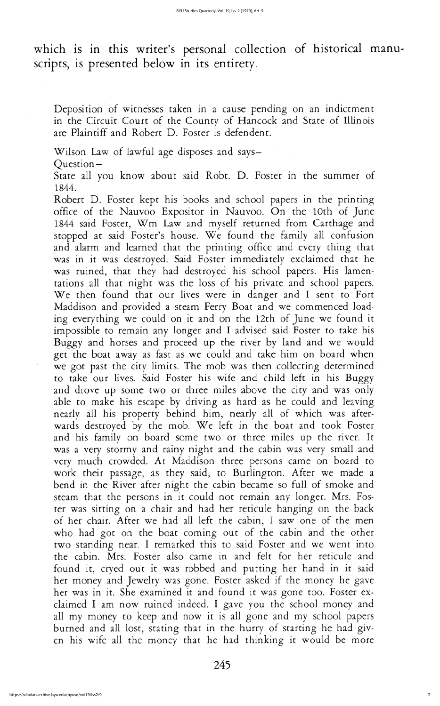State all you know about said Robt. D. Foster in the summer of 1844

Robert D. Foster kept his books and school papers in the printing office of the Nauvoo Expositor in Nauvoo. On the 10th of June 1844 said Foster, Wm Law and myself returned from Carthage and stopped at said Foster's house. We found the family all confusion and alarm and learned that the printing office and every thing that was in it was destroyed. Said Foster immediately exclaimed that he was ruined, that they had destroyed his school papers. His lamentations all that night was the loss of his private and school papers We then found that our lives were in danger and I sent to Fort maddison and provided a steam ferry boat and we commenced loading everything we could on it and on the 12th of june we found it impossible to remain any longer and I advised said Foster to take his buggy and horses and proceed up the river by land and we would get the boat away as fast as we could and take him on board when we got past the city limits. The mob was then collecting determined to take our lives. Said Foster his wife and child left in his Buggy and drove up some two or three miles above the city and was only able to make his escape by driving as hard as he could and leaving nearly all his property behind him, nearly all of which was afterwards destroyed by the mob. We left in the boat and took Foster and his family on board some two or three miles up the river. It was a very stormy and rainy night and the cabin was very small and very much crowded. At Maddison three persons came on board to work their passage, as they said, to Burlington. After we made a bend in the River after night the cabin became so full of smoke and steam that the persons in it could not remain any longer. Mrs. Foster was sitting on a chair and had her reticule hanging on the back of her chair. After we had all left the cabin, I saw one of the men who had got on the boat coming out of the cabin and the other two standing near. I remarked this to said Foster and we went into the cabin. Mrs. Foster also came in and felt for her reticule and found it, cryed out it was robbed and putting her hand in it said her money and Jewelry was gone. Foster asked if the money he gave her was in it. She examined it and found it was gone too. Foster exclaimed I am now ruined indeed. I gave you the school money and all my money to keep and now it is all gone and my school papers burned and all lost, stating that in the hurry of starting he had given his wife all the money that he had thinking it would be more

which is in this writer's personal collection of historical manuscripts, is presented below in its entirety.

Deposition of witnesses taken in a cause pending on an indictment in the Circuit Court of the County of Hancock and State of Illinois are Plaintiff and Robert D. Foster is defendent.

Wilson Law of lawful age disposes and says-

Question-